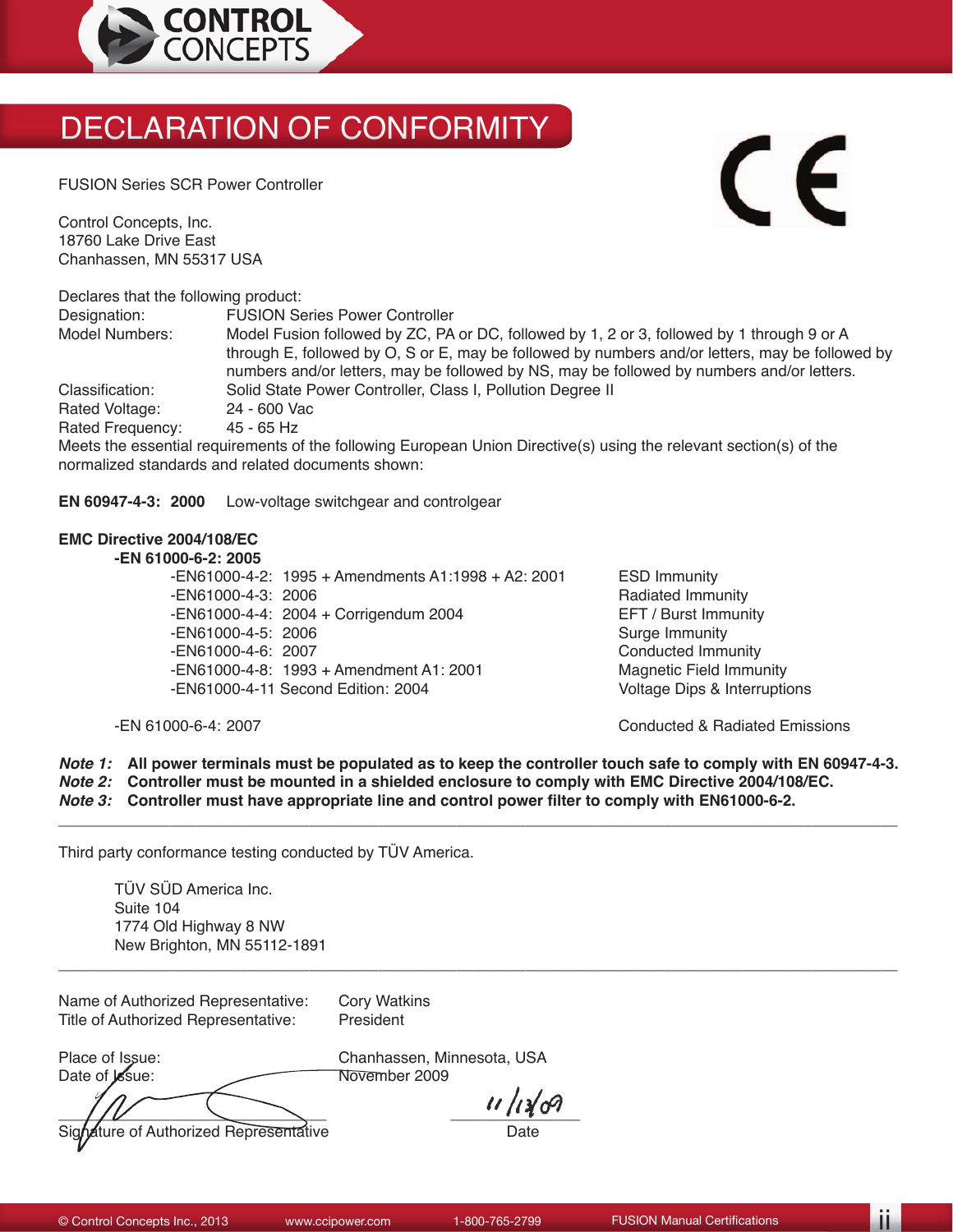

# DECLARATION OF CONFORMITY

FUSION Series SCR Power Controller

Control Concepts, Inc. 18760 Lake Drive East Chanhassen, MN 55317 USA

Declares that the following product:

Designation: FUSION Series Power Controller<br>Model Numbers: Model Fusion followed by ZC. PA Model Fusion followed by ZC, PA or DC, followed by 1, 2 or 3, followed by 1 through 9 or A through E, followed by O, S or E, may be followed by numbers and/or letters, may be followed by numbers and/or letters, may be followed by NS, may be followed by numbers and/or letters. Classification: Solid State Power Controller, Class I, Pollution Degree II<br>Rated Voltage: 24 - 600 Vac Rated Voltage: 24 - 600 Va<br>Rated Frequency: 45 - 65 Hz Rated Frequency:

Meets the essential requirements of the following European Union Directive(s) using the relevant section(s) of the normalized standards and related documents shown:

**EN 60947-4-3: 2000** Low-voltage switchgear and controlgear

## **EMC Directive 2004/108/EC**

**-EN 61000-6-2: 2005**

 -EN61000-4-2: 1995 + Amendments A1:1998 + A2: 2001 ESD Immunity -EN61000-4-3: 2006 Radiated Immunity -EN61000-4-4: 2004 + Corrigendum 2004 EFT / Burst Imm<br>-EN61000-4-5: 2006 CHO Surge Immunity -EN61000-4-5: 2006<br>
-EN61000-4-6: 2007<br>
Surge Immunity Conducted Immunity -EN61000-4-6: 2007 Conducted Immunity -EN61000-4-8: 1993 + Amendment A1: 2001 Magnetic Field Immunity<br>-EN61000-4-11 Second Edition: 2004 Contract Magnetic Pips & Interruptions -EN61000-4-11 Second Edition: 2004

-EN 61000-6-4: 2007 Conducted & Radiated Emissions

*Note 1:* **All power terminals must be populated as to keep the controller touch safe to comply with EN 60947-4-3.**

 $\Box$  , and the contribution of the contribution of the contribution of the contribution of the contribution of the contribution of the contribution of the contribution of the contribution of the contribution of the contri

*Note 2:* **Controller must be mounted in a shielded enclosure to comply with EMC Directive 2004/108/EC.**

*Note 3:* **Controller must have appropriate line and control power filter to comply with EN61000-6-2.**  $\Box$  , and the contribution of the contribution of the contribution of the contribution of the contribution of the contribution of the contribution of the contribution of the contribution of the contribution of the contri

Third party conformance testing conducted by TÜV America.

TÜV SÜD America Inc. Suite 104 1774 Old Highway 8 NW New Brighton, MN 55112-1891

Name of Authorized Representative: Cory Watkins<br>Title of Authorized Representative: President Title of Authorized Representative:

Place of Issue: Chanhassen, Minnesota, USA<br>Date of *Issue*: Channessen, Minnesota, USA November 2009

 $\frac{1}{1}$ ature of Authorized Representative